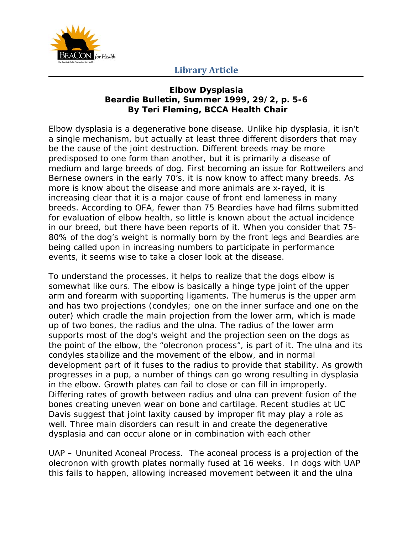

## **Library Article**

## **Elbow Dysplasia Beardie Bulletin, Summer 1999, 29/2, p. 5-6 By Teri Fleming, BCCA Health Chair**

Elbow dysplasia is a degenerative bone disease. Unlike hip dysplasia, it isn't a single mechanism, but actually at least three different disorders that may be the cause of the joint destruction. Different breeds may be more predisposed to one form than another, but it is primarily a disease of medium and large breeds of dog. First becoming an issue for Rottweilers and Bernese owners in the early 70's, it is now know to affect many breeds. As more is know about the disease and more animals are x-rayed, it is increasing clear that it is a major cause of front end lameness in many breeds. According to OFA, fewer than 75 Beardies have had films submitted for evaluation of elbow health, so little is known about the actual incidence in our breed, but there have been reports of it. When you consider that 75- 80% of the dog's weight is normally born by the front legs and Beardies are being called upon in increasing numbers to participate in performance events, it seems wise to take a closer look at the disease.

To understand the processes, it helps to realize that the dogs elbow is somewhat like ours. The elbow is basically a hinge type joint of the upper arm and forearm with supporting ligaments. The humerus is the upper arm and has two projections (condyles; one on the inner surface and one on the outer) which cradle the main projection from the lower arm, which is made up of two bones, the radius and the ulna. The radius of the lower arm supports most of the dog's weight and the projection seen on the dogs as the point of the elbow, the "olecronon process", is part of it. The ulna and its condyles stabilize and the movement of the elbow, and in normal development part of it fuses to the radius to provide that stability. As growth progresses in a pup, a number of things can go wrong resulting in dysplasia in the elbow. Growth plates can fail to close or can fill in improperly. Differing rates of growth between radius and ulna can prevent fusion of the bones creating uneven wear on bone and cartilage. Recent studies at UC Davis suggest that joint laxity caused by improper fit may play a role as well. Three main disorders can result in and create the degenerative dysplasia and can occur alone or in combination with each other

UAP – Ununited Aconeal Process. The aconeal process is a projection of the olecronon with growth plates normally fused at 16 weeks. In dogs with UAP this fails to happen, allowing increased movement between it and the ulna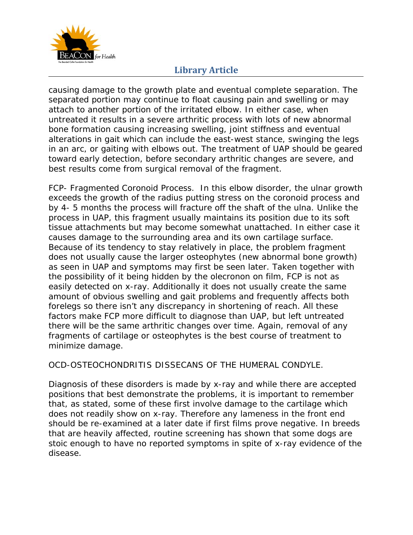

## **Library Article**

causing damage to the growth plate and eventual complete separation. The separated portion may continue to float causing pain and swelling or may attach to another portion of the irritated elbow. In either case, when untreated it results in a severe arthritic process with lots of new abnormal bone formation causing increasing swelling, joint stiffness and eventual alterations in gait which can include the east-west stance, swinging the legs in an arc, or gaiting with elbows out. The treatment of UAP should be geared toward early detection, before secondary arthritic changes are severe, and best results come from surgical removal of the fragment.

FCP- Fragmented Coronoid Process. In this elbow disorder, the ulnar growth exceeds the growth of the radius putting stress on the coronoid process and by 4- 5 months the process will fracture off the shaft of the ulna. Unlike the process in UAP, this fragment usually maintains its position due to its soft tissue attachments but may become somewhat unattached. In either case it causes damage to the surrounding area and its own cartilage surface. Because of its tendency to stay relatively in place, the problem fragment does not usually cause the larger osteophytes (new abnormal bone growth) as seen in UAP and symptoms may first be seen later. Taken together with the possibility of it being hidden by the olecronon on film, FCP is not as easily detected on x-ray. Additionally it does not usually create the same amount of obvious swelling and gait problems and frequently affects both forelegs so there isn't any discrepancy in shortening of reach. All these factors make FCP more difficult to diagnose than UAP, but left untreated there will be the same arthritic changes over time. Again, removal of any fragments of cartilage or osteophytes is the best course of treatment to minimize damage.

OCD-OSTEOCHONDRITIS DISSECANS OF THE HUMERAL CONDYLE.

Diagnosis of these disorders is made by x-ray and while there are accepted positions that best demonstrate the problems, it is important to remember that, as stated, some of these first involve damage to the cartilage which does not readily show on x-ray. Therefore any lameness in the front end should be re-examined at a later date if first films prove negative. In breeds that are heavily affected, routine screening has shown that some dogs are stoic enough to have no reported symptoms in spite of x-ray evidence of the disease.